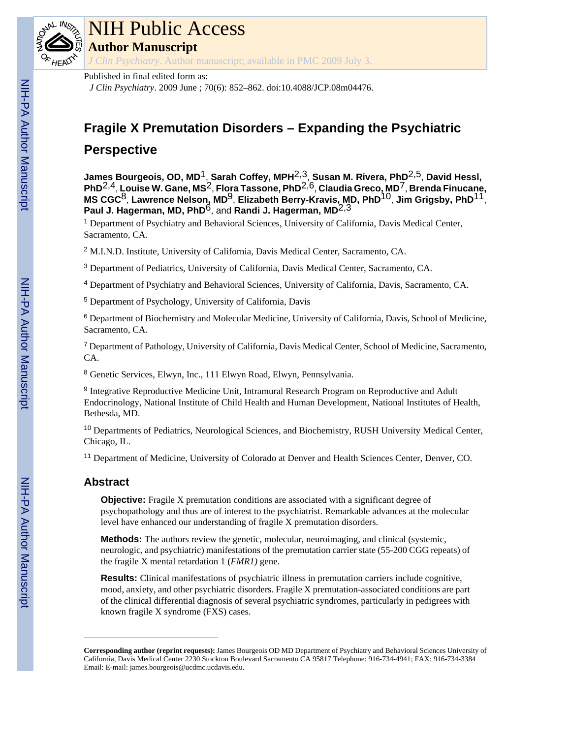

# NIH Public Access

**Author Manuscript**

*J Clin Psychiatry*. Author manuscript; available in PMC 2009 July 3.

#### Published in final edited form as:

*J Clin Psychiatry*. 2009 June ; 70(6): 852–862. doi:10.4088/JCP.08m04476.

# **Fragile X Premutation Disorders – Expanding the Psychiatric**

# **Perspective**

**James Bourgeois, OD, MD**1, **Sarah Coffey, MPH**2,3, **Susan M. Rivera, PhD**2,5, **David Hessl, PhD**2,4, **Louise W. Gane, MS**2, **Flora Tassone, PhD**2,6, **Claudia Greco, MD**7, **Brenda Finucane, MS CGC**8, **Lawrence Nelson, MD**9, **Elizabeth Berry-Kravis, MD, PhD**10, **Jim Grigsby, PhD**11, **Paul J. Hagerman, MD, PhD**6, and **Randi J. Hagerman, MD**2,3

<sup>1</sup> Department of Psychiatry and Behavioral Sciences, University of California, Davis Medical Center, Sacramento, CA.

<sup>2</sup> M.I.N.D. Institute, University of California, Davis Medical Center, Sacramento, CA.

<sup>3</sup> Department of Pediatrics, University of California, Davis Medical Center, Sacramento, CA.

<sup>4</sup> Department of Psychiatry and Behavioral Sciences, University of California, Davis, Sacramento, CA.

5 Department of Psychology, University of California, Davis

<sup>6</sup> Department of Biochemistry and Molecular Medicine, University of California, Davis, School of Medicine, Sacramento, CA.

<sup>7</sup> Department of Pathology, University of California, Davis Medical Center, School of Medicine, Sacramento, CA.

<sup>8</sup> Genetic Services, Elwyn, Inc., 111 Elwyn Road, Elwyn, Pennsylvania.

<sup>9</sup> Integrative Reproductive Medicine Unit, Intramural Research Program on Reproductive and Adult Endocrinology, National Institute of Child Health and Human Development, National Institutes of Health, Bethesda, MD.

<sup>10</sup> Departments of Pediatrics, Neurological Sciences, and Biochemistry, RUSH University Medical Center, Chicago, IL.

<sup>11</sup> Department of Medicine, University of Colorado at Denver and Health Sciences Center, Denver, CO.

## **Abstract**

**Objective:** Fragile X premutation conditions are associated with a significant degree of psychopathology and thus are of interest to the psychiatrist. Remarkable advances at the molecular level have enhanced our understanding of fragile X premutation disorders.

**Methods:** The authors review the genetic, molecular, neuroimaging, and clinical (systemic, neurologic, and psychiatric) manifestations of the premutation carrier state (55-200 CGG repeats) of the fragile X mental retardation 1 (*FMR1)* gene.

**Results:** Clinical manifestations of psychiatric illness in premutation carriers include cognitive, mood, anxiety, and other psychiatric disorders. Fragile X premutation-associated conditions are part of the clinical differential diagnosis of several psychiatric syndromes, particularly in pedigrees with known fragile X syndrome (FXS) cases.

**Corresponding author (reprint requests):** James Bourgeois OD MD Department of Psychiatry and Behavioral Sciences University of California, Davis Medical Center 2230 Stockton Boulevard Sacramento CA 95817 Telephone: 916-734-4941; FAX: 916-734-3384 Email: E-mail: james.bourgeois@ucdmc.ucdavis.edu.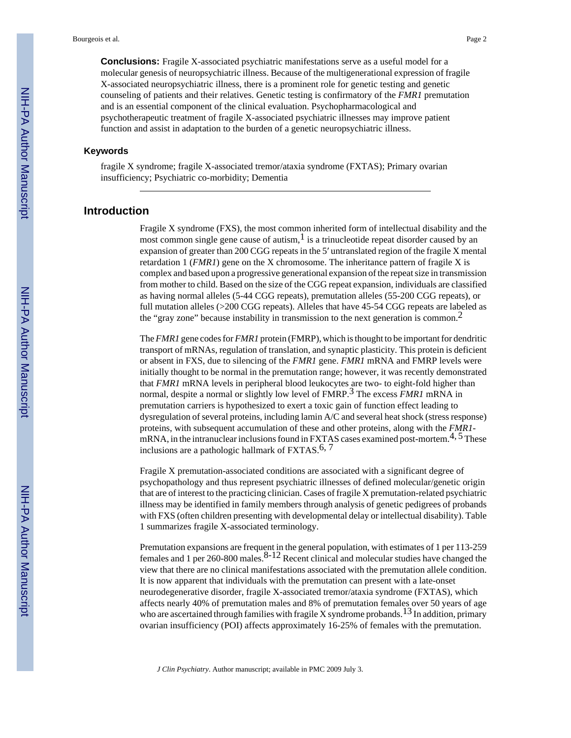**Conclusions:** Fragile X-associated psychiatric manifestations serve as a useful model for a molecular genesis of neuropsychiatric illness. Because of the multigenerational expression of fragile X-associated neuropsychiatric illness, there is a prominent role for genetic testing and genetic counseling of patients and their relatives. Genetic testing is confirmatory of the *FMR1* premutation and is an essential component of the clinical evaluation. Psychopharmacological and psychotherapeutic treatment of fragile X-associated psychiatric illnesses may improve patient function and assist in adaptation to the burden of a genetic neuropsychiatric illness.

#### **Keywords**

fragile X syndrome; fragile X-associated tremor/ataxia syndrome (FXTAS); Primary ovarian insufficiency; Psychiatric co-morbidity; Dementia

#### **Introduction**

Fragile X syndrome (FXS), the most common inherited form of intellectual disability and the most common single gene cause of autism, $<sup>1</sup>$  is a trinucleotide repeat disorder caused by an</sup> expansion of greater than 200 CGG repeats in the 5′ untranslated region of the fragile X mental retardation 1 (*FMR1*) gene on the X chromosome. The inheritance pattern of fragile X is complex and based upon a progressive generational expansion of the repeat size in transmission from mother to child. Based on the size of the CGG repeat expansion, individuals are classified as having normal alleles (5-44 CGG repeats), premutation alleles (55-200 CGG repeats), or full mutation alleles (>200 CGG repeats). Alleles that have 45-54 CGG repeats are labeled as the "gray zone" because instability in transmission to the next generation is common.<sup>2</sup>

The *FMR1* gene codes for *FMR1* protein (FMRP), which is thought to be important for dendritic transport of mRNAs, regulation of translation, and synaptic plasticity. This protein is deficient or absent in FXS, due to silencing of the *FMR1* gene. *FMR1* mRNA and FMRP levels were initially thought to be normal in the premutation range; however, it was recently demonstrated that *FMR1* mRNA levels in peripheral blood leukocytes are two- to eight-fold higher than normal, despite a normal or slightly low level of FMRP.<sup>3</sup> The excess *FMR1* mRNA in premutation carriers is hypothesized to exert a toxic gain of function effect leading to dysregulation of several proteins, including lamin A/C and several heat shock (stress response) proteins, with subsequent accumulation of these and other proteins, along with the *FMR1* mRNA, in the intranuclear inclusions found in FXTAS cases examined post-mortem.<sup>4, 5</sup> These inclusions are a pathologic hallmark of  $\text{FXTAS}$ .<sup>6, 7</sup>

Fragile X premutation-associated conditions are associated with a significant degree of psychopathology and thus represent psychiatric illnesses of defined molecular/genetic origin that are of interest to the practicing clinician. Cases of fragile X premutation-related psychiatric illness may be identified in family members through analysis of genetic pedigrees of probands with FXS (often children presenting with developmental delay or intellectual disability). Table 1 summarizes fragile X-associated terminology.

Premutation expansions are frequent in the general population, with estimates of 1 per 113-259 females and 1 per 260-800 males.  $8-12$  Recent clinical and molecular studies have changed the view that there are no clinical manifestations associated with the premutation allele condition. It is now apparent that individuals with the premutation can present with a late-onset neurodegenerative disorder, fragile X-associated tremor/ataxia syndrome (FXTAS), which affects nearly 40% of premutation males and 8% of premutation females over 50 years of age who are ascertained through families with fragile X syndrome probands.<sup>13</sup> In addition, primary ovarian insufficiency (POI) affects approximately 16-25% of females with the premutation.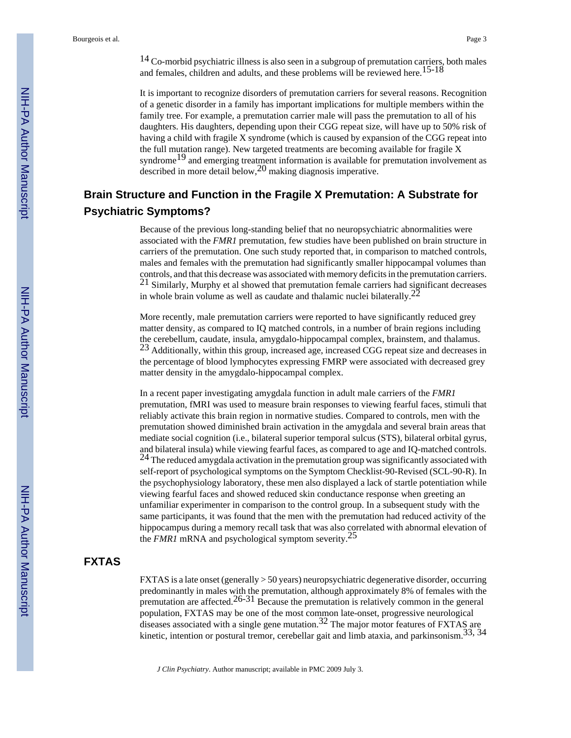$14$  Co-morbid psychiatric illness is also seen in a subgroup of premutation carriers, both males and females, children and adults, and these problems will be reviewed here.<sup>15-18</sup>

It is important to recognize disorders of premutation carriers for several reasons. Recognition of a genetic disorder in a family has important implications for multiple members within the family tree. For example, a premutation carrier male will pass the premutation to all of his daughters. His daughters, depending upon their CGG repeat size, will have up to 50% risk of having a child with fragile X syndrome (which is caused by expansion of the CGG repeat into the full mutation range). New targeted treatments are becoming available for fragile X syndrome<sup>19</sup> and emerging treatment information is available for premutation involvement as described in more detail below,20 making diagnosis imperative.

## **Brain Structure and Function in the Fragile X Premutation: A Substrate for Psychiatric Symptoms?**

Because of the previous long-standing belief that no neuropsychiatric abnormalities were associated with the *FMR1* premutation, few studies have been published on brain structure in carriers of the premutation. One such study reported that, in comparison to matched controls, males and females with the premutation had significantly smaller hippocampal volumes than controls, and that this decrease was associated with memory deficits in the premutation carriers.  $21$  Similarly, Murphy et al showed that premutation female carriers had significant decreases in whole brain volume as well as caudate and thalamic nuclei bilaterally.  $22$ 

More recently, male premutation carriers were reported to have significantly reduced grey matter density, as compared to IQ matched controls, in a number of brain regions including the cerebellum, caudate, insula, amygdalo-hippocampal complex, brainstem, and thalamus. <sup>23</sup> Additionally, within this group, increased age, increased CGG repeat size and decreases in the percentage of blood lymphocytes expressing FMRP were associated with decreased grey matter density in the amygdalo-hippocampal complex.

In a recent paper investigating amygdala function in adult male carriers of the *FMR1* premutation, fMRI was used to measure brain responses to viewing fearful faces, stimuli that reliably activate this brain region in normative studies. Compared to controls, men with the premutation showed diminished brain activation in the amygdala and several brain areas that mediate social cognition (i.e., bilateral superior temporal sulcus (STS), bilateral orbital gyrus, and bilateral insula) while viewing fearful faces, as compared to age and IQ-matched controls.  $24$  The reduced amygdala activation in the premutation group was significantly associated with self-report of psychological symptoms on the Symptom Checklist-90-Revised (SCL-90-R). In the psychophysiology laboratory, these men also displayed a lack of startle potentiation while viewing fearful faces and showed reduced skin conductance response when greeting an unfamiliar experimenter in comparison to the control group. In a subsequent study with the same participants, it was found that the men with the premutation had reduced activity of the hippocampus during a memory recall task that was also correlated with abnormal elevation of the *FMR1* mRNA and psychological symptom severity.25

#### **FXTAS**

FXTAS is a late onset (generally > 50 years) neuropsychiatric degenerative disorder, occurring predominantly in males with the premutation, although approximately 8% of females with the premutation are affected.<sup>26-31</sup> Because the premutation is relatively common in the general population, FXTAS may be one of the most common late-onset, progressive neurological diseases associated with a single gene mutation.<sup>32</sup> The major motor features of FXTAS are kinetic, intention or postural tremor, cerebellar gait and limb ataxia, and parkinsonism.<sup>33, 34</sup>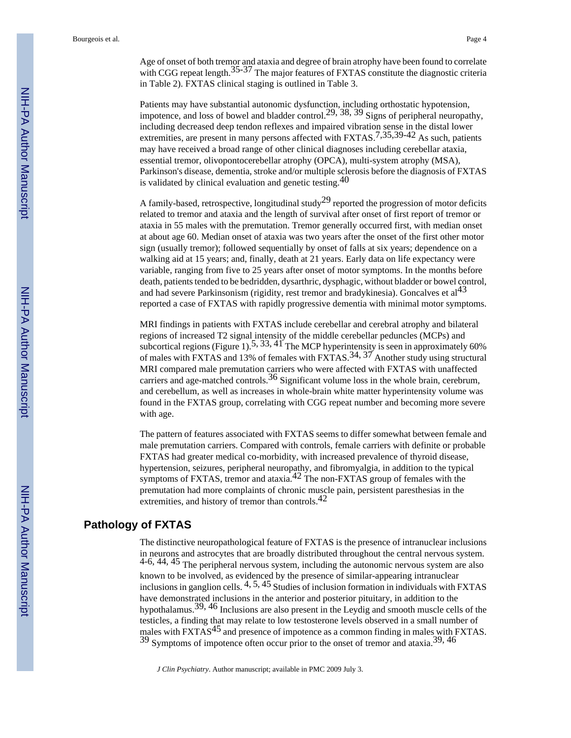Age of onset of both tremor and ataxia and degree of brain atrophy have been found to correlate with CGG repeat length.<sup>35-37</sup> The major features of FXTAS constitute the diagnostic criteria in Table 2). FXTAS clinical staging is outlined in Table 3.

Patients may have substantial autonomic dysfunction, including orthostatic hypotension, impotence, and loss of bowel and bladder control.<sup>29, 38, 39</sup> Signs of peripheral neuropathy, including decreased deep tendon reflexes and impaired vibration sense in the distal lower extremities, are present in many persons affected with FXTAS.<sup>7,35,39-42</sup> As such, patients may have received a broad range of other clinical diagnoses including cerebellar ataxia, essential tremor, olivopontocerebellar atrophy (OPCA), multi-system atrophy (MSA), Parkinson's disease, dementia, stroke and/or multiple sclerosis before the diagnosis of FXTAS is validated by clinical evaluation and genetic testing. $40$ 

A family-based, retrospective, longitudinal study<sup>29</sup> reported the progression of motor deficits related to tremor and ataxia and the length of survival after onset of first report of tremor or ataxia in 55 males with the premutation. Tremor generally occurred first, with median onset at about age 60. Median onset of ataxia was two years after the onset of the first other motor sign (usually tremor); followed sequentially by onset of falls at six years; dependence on a walking aid at 15 years; and, finally, death at 21 years. Early data on life expectancy were variable, ranging from five to 25 years after onset of motor symptoms. In the months before death, patients tended to be bedridden, dysarthric, dysphagic, without bladder or bowel control, and had severe Parkinsonism (rigidity, rest tremor and bradykinesia). Goncalves et  $al<sup>43</sup>$ reported a case of FXTAS with rapidly progressive dementia with minimal motor symptoms.

MRI findings in patients with FXTAS include cerebellar and cerebral atrophy and bilateral regions of increased T2 signal intensity of the middle cerebellar peduncles (MCPs) and subcortical regions (Figure 1).<sup>5, 33, 41</sup> The MCP hyperintensity is seen in approximately 60% of males with FXTAS and 13% of females with FXTAS.  $34$ ,  $37$  Another study using structural MRI compared male premutation carriers who were affected with FXTAS with unaffected carriers and age-matched controls.<sup>36</sup> Significant volume loss in the whole brain, cerebrum, and cerebellum, as well as increases in whole-brain white matter hyperintensity volume was found in the FXTAS group, correlating with CGG repeat number and becoming more severe with age.

The pattern of features associated with FXTAS seems to differ somewhat between female and male premutation carriers. Compared with controls, female carriers with definite or probable FXTAS had greater medical co-morbidity, with increased prevalence of thyroid disease, hypertension, seizures, peripheral neuropathy, and fibromyalgia, in addition to the typical symptoms of FXTAS, tremor and ataxia.<sup>42</sup> The non-FXTAS group of females with the premutation had more complaints of chronic muscle pain, persistent paresthesias in the extremities, and history of tremor than controls. $42$ 

#### **Pathology of FXTAS**

The distinctive neuropathological feature of FXTAS is the presence of intranuclear inclusions in neurons and astrocytes that are broadly distributed throughout the central nervous system. 4-6, 44, 45 The peripheral nervous system, including the autonomic nervous system are also known to be involved, as evidenced by the presence of similar-appearing intranuclear inclusions in ganglion cells. 4, 5, 45 Studies of inclusion formation in individuals with FXTAS have demonstrated inclusions in the anterior and posterior pituitary, in addition to the hypothalamus.39, 46 Inclusions are also present in the Leydig and smooth muscle cells of the testicles, a finding that may relate to low testosterone levels observed in a small number of males with FXTAS<sup>45</sup> and presence of impotence as a common finding in males with FXTAS. <sup>39</sup> Symptoms of impotence often occur prior to the onset of tremor and ataxia.<sup>39, 46</sup>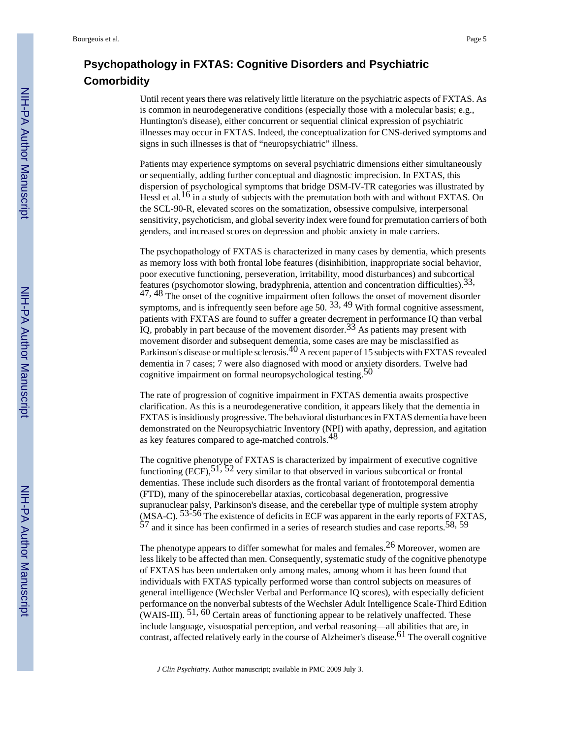## **Psychopathology in FXTAS: Cognitive Disorders and Psychiatric Comorbidity**

Until recent years there was relatively little literature on the psychiatric aspects of FXTAS. As is common in neurodegenerative conditions (especially those with a molecular basis; e.g., Huntington's disease), either concurrent or sequential clinical expression of psychiatric illnesses may occur in FXTAS. Indeed, the conceptualization for CNS-derived symptoms and signs in such illnesses is that of "neuropsychiatric" illness.

Patients may experience symptoms on several psychiatric dimensions either simultaneously or sequentially, adding further conceptual and diagnostic imprecision. In FXTAS, this dispersion of psychological symptoms that bridge DSM-IV-TR categories was illustrated by Hessl et al.<sup>16</sup> in a study of subjects with the premutation both with and without FXTAS. On the SCL-90-R, elevated scores on the somatization, obsessive compulsive, interpersonal sensitivity, psychoticism, and global severity index were found for premutation carriers of both genders, and increased scores on depression and phobic anxiety in male carriers.

The psychopathology of FXTAS is characterized in many cases by dementia, which presents as memory loss with both frontal lobe features (disinhibition, inappropriate social behavior, poor executive functioning, perseveration, irritability, mood disturbances) and subcortical features (psychomotor slowing, bradyphrenia, attention and concentration difficulties).33, 47, 48 The onset of the cognitive impairment often follows the onset of movement disorder symptoms, and is infrequently seen before age 50,  $33, 49$  With formal cognitive assessment, patients with FXTAS are found to suffer a greater decrement in performance IQ than verbal IQ, probably in part because of the movement disorder.<sup>33</sup> As patients may present with movement disorder and subsequent dementia, some cases are may be misclassified as Parkinson's disease or multiple sclerosis.40 A recent paper of 15 subjects with FXTAS revealed dementia in 7 cases; 7 were also diagnosed with mood or anxiety disorders. Twelve had cognitive impairment on formal neuropsychological testing.<sup>50</sup>

The rate of progression of cognitive impairment in FXTAS dementia awaits prospective clarification. As this is a neurodegenerative condition, it appears likely that the dementia in FXTAS is insidiously progressive. The behavioral disturbances in FXTAS dementia have been demonstrated on the Neuropsychiatric Inventory (NPI) with apathy, depression, and agitation as key features compared to age-matched controls.<sup>48</sup>

The cognitive phenotype of FXTAS is characterized by impairment of executive cognitive functioning (ECF),  $51, 52$  very similar to that observed in various subcortical or frontal dementias. These include such disorders as the frontal variant of frontotemporal dementia (FTD), many of the spinocerebellar ataxias, corticobasal degeneration, progressive supranuclear palsy, Parkinson's disease, and the cerebellar type of multiple system atrophy  $(MSA-C)$ .  $53-56$  The existence of deficits in ECF was apparent in the early reports of FXTAS,  $57$  and it since has been confirmed in a series of research studies and case reports.  $58$ ,  $59$ 

The phenotype appears to differ somewhat for males and females.<sup>26</sup> Moreover, women are less likely to be affected than men. Consequently, systematic study of the cognitive phenotype of FXTAS has been undertaken only among males, among whom it has been found that individuals with FXTAS typically performed worse than control subjects on measures of general intelligence (Wechsler Verbal and Performance IQ scores), with especially deficient performance on the nonverbal subtests of the Wechsler Adult Intelligence Scale-Third Edition (WAIS-III).  $51,60$  Certain areas of functioning appear to be relatively unaffected. These include language, visuospatial perception, and verbal reasoning—all abilities that are, in contrast, affected relatively early in the course of Alzheimer's disease.<sup>61</sup> The overall cognitive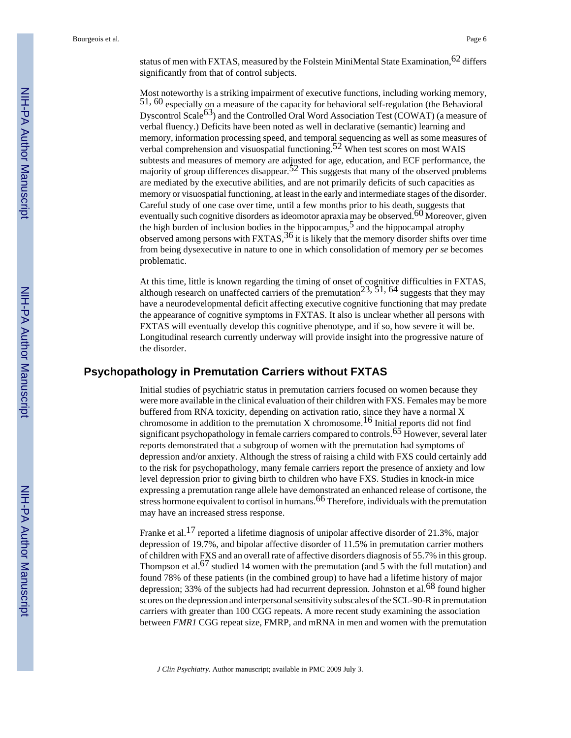status of men with FXTAS, measured by the Folstein MiniMental State Examination,  $62$  differs significantly from that of control subjects.

Most noteworthy is a striking impairment of executive functions, including working memory, 51, 60 especially on a measure of the capacity for behavioral self-regulation (the Behavioral Dyscontrol Scale<sup>63</sup>) and the Controlled Oral Word Association Test (COWAT) (a measure of verbal fluency.) Deficits have been noted as well in declarative (semantic) learning and memory, information processing speed, and temporal sequencing as well as some measures of verbal comprehension and visuospatial functioning.<sup>52</sup> When test scores on most WAIS subtests and measures of memory are adjusted for age, education, and ECF performance, the majority of group differences disappear.<sup>52</sup> This suggests that many of the observed problems are mediated by the executive abilities, and are not primarily deficits of such capacities as memory or visuospatial functioning, at least in the early and intermediate stages of the disorder. Careful study of one case over time, until a few months prior to his death, suggests that eventually such cognitive disorders as ideomotor apraxia may be observed.<sup>60</sup> Moreover, given the high burden of inclusion bodies in the hippocampus,  $\frac{5}{3}$  and the hippocampal atrophy observed among persons with  $\frac{256}{11}$  it is likely that the memory disorder shifts over time from being dysexecutive in nature to one in which consolidation of memory *per se* becomes problematic.

At this time, little is known regarding the timing of onset of cognitive difficulties in FXTAS, although research on unaffected carriers of the premutation<sup>23, 51, 64</sup> suggests that they may have a neurodevelopmental deficit affecting executive cognitive functioning that may predate the appearance of cognitive symptoms in FXTAS. It also is unclear whether all persons with FXTAS will eventually develop this cognitive phenotype, and if so, how severe it will be. Longitudinal research currently underway will provide insight into the progressive nature of the disorder.

#### **Psychopathology in Premutation Carriers without FXTAS**

Initial studies of psychiatric status in premutation carriers focused on women because they were more available in the clinical evaluation of their children with FXS. Females may be more buffered from RNA toxicity, depending on activation ratio, since they have a normal X chromosome in addition to the premutation X chromosome.16 Initial reports did not find significant psychopathology in female carriers compared to controls.<sup>65</sup> However, several later reports demonstrated that a subgroup of women with the premutation had symptoms of depression and/or anxiety. Although the stress of raising a child with FXS could certainly add to the risk for psychopathology, many female carriers report the presence of anxiety and low level depression prior to giving birth to children who have FXS. Studies in knock-in mice expressing a premutation range allele have demonstrated an enhanced release of cortisone, the stress hormone equivalent to cortisol in humans.<sup>66</sup> Therefore, individuals with the premutation may have an increased stress response.

Franke et al.<sup>17</sup> reported a lifetime diagnosis of unipolar affective disorder of 21.3%, major depression of 19.7%, and bipolar affective disorder of 11.5% in premutation carrier mothers of children with FXS and an overall rate of affective disorders diagnosis of 55.7% in this group. Thompson et al.<sup>67</sup> studied 14 women with the premutation (and 5 with the full mutation) and found 78% of these patients (in the combined group) to have had a lifetime history of major depression; 33% of the subjects had had recurrent depression. Johnston et al.<sup>68</sup> found higher scores on the depression and interpersonal sensitivity subscales of the SCL-90-R in premutation carriers with greater than 100 CGG repeats. A more recent study examining the association between *FMR1* CGG repeat size, FMRP, and mRNA in men and women with the premutation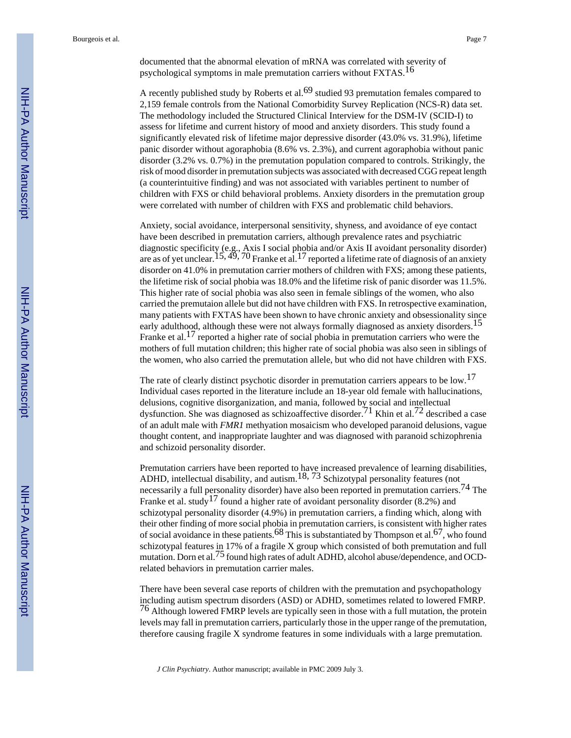documented that the abnormal elevation of mRNA was correlated with severity of psychological symptoms in male premutation carriers without FXTAS.<sup>16</sup>

A recently published study by Roberts et al.<sup>69</sup> studied 93 premutation females compared to 2,159 female controls from the National Comorbidity Survey Replication (NCS-R) data set. The methodology included the Structured Clinical Interview for the DSM-IV (SCID-I) to assess for lifetime and current history of mood and anxiety disorders. This study found a significantly elevated risk of lifetime major depressive disorder (43.0% vs. 31.9%), lifetime panic disorder without agoraphobia (8.6% vs. 2.3%), and current agoraphobia without panic disorder (3.2% vs. 0.7%) in the premutation population compared to controls. Strikingly, the risk of mood disorder in premutation subjects was associated with decreased CGG repeat length (a counterintuitive finding) and was not associated with variables pertinent to number of children with FXS or child behavioral problems. Anxiety disorders in the premutation group were correlated with number of children with FXS and problematic child behaviors.

Anxiety, social avoidance, interpersonal sensitivity, shyness, and avoidance of eye contact have been described in premutation carriers, although prevalence rates and psychiatric diagnostic specificity (e.g., Axis I social phobia and/or Axis II avoidant personality disorder) are as of yet unclear.  $15, 49, 70$  Franke et al. 17 reported a lifetime rate of diagnosis of an anxiety disorder on 41.0% in premutation carrier mothers of children with FXS; among these patients, the lifetime risk of social phobia was 18.0% and the lifetime risk of panic disorder was 11.5%. This higher rate of social phobia was also seen in female siblings of the women, who also carried the premutaion allele but did not have children with FXS. In retrospective examination, many patients with FXTAS have been shown to have chronic anxiety and obsessionality since early adulthood, although these were not always formally diagnosed as anxiety disorders.<sup>15</sup> Franke et al.<sup>17</sup> reported a higher rate of social phobia in premutation carriers who were the mothers of full mutation children; this higher rate of social phobia was also seen in siblings of the women, who also carried the premutation allele, but who did not have children with FXS.

The rate of clearly distinct psychotic disorder in premutation carriers appears to be low.<sup>17</sup> Individual cases reported in the literature include an 18-year old female with hallucinations, delusions, cognitive disorganization, and mania, followed by social and intellectual dysfunction. She was diagnosed as schizoaffective disorder.<sup>71</sup> Khin et al.<sup>72</sup> described a case of an adult male with *FMR1* methyation mosaicism who developed paranoid delusions, vague thought content, and inappropriate laughter and was diagnosed with paranoid schizophrenia and schizoid personality disorder.

Premutation carriers have been reported to have increased prevalence of learning disabilities, ADHD, intellectual disability, and autism.<sup>18, 73</sup> Schizotypal personality features (not necessarily a full personality disorder) have also been reported in premutation carriers.<sup>74</sup> The Franke et al. study<sup>17</sup> found a higher rate of avoidant personality disorder (8.2%) and schizotypal personality disorder (4.9%) in premutation carriers, a finding which, along with their other finding of more social phobia in premutation carriers, is consistent with higher rates of social avoidance in these patients.<sup>68</sup> This is substantiated by Thompson et al.<sup>67</sup>, who found schizotypal features in 17% of a fragile X group which consisted of both premutation and full mutation. Dorn et al.<sup>75</sup> found high rates of adult ADHD, alcohol abuse/dependence, and OCDrelated behaviors in premutation carrier males.

There have been several case reports of children with the premutation and psychopathology including autism spectrum disorders (ASD) or ADHD, sometimes related to lowered FMRP.  $76$  Although lowered FMRP levels are typically seen in those with a full mutation, the protein levels may fall in premutation carriers, particularly those in the upper range of the premutation, therefore causing fragile X syndrome features in some individuals with a large premutation.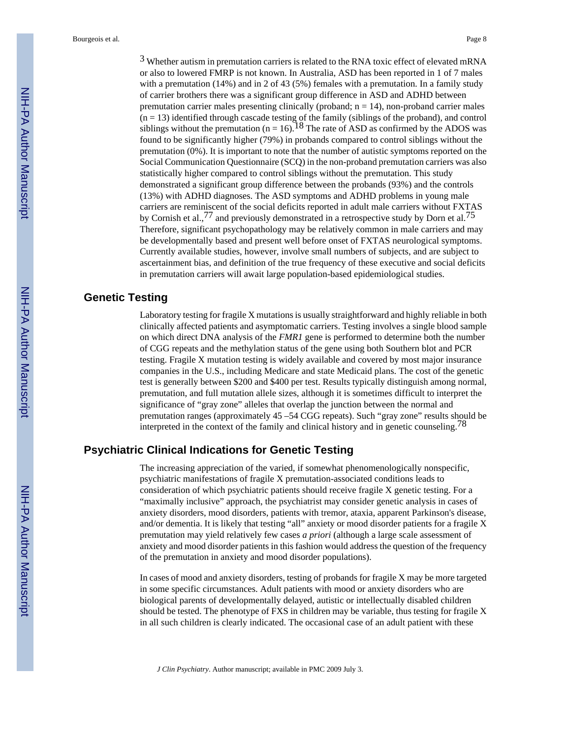<sup>3</sup> Whether autism in premutation carriers is related to the RNA toxic effect of elevated mRNA or also to lowered FMRP is not known. In Australia, ASD has been reported in 1 of 7 males with a premutation (14%) and in 2 of 43 (5%) females with a premutation. In a family study of carrier brothers there was a significant group difference in ASD and ADHD between premutation carrier males presenting clinically (proband;  $n = 14$ ), non-proband carrier males  $(n = 13)$  identified through cascade testing of the family (siblings of the proband), and control siblings without the premutation (n = 16).<sup>18</sup> The rate of ASD as confirmed by the ADOS was found to be significantly higher (79%) in probands compared to control siblings without the premutation (0%). It is important to note that the number of autistic symptoms reported on the Social Communication Questionnaire (SCQ) in the non-proband premutation carriers was also statistically higher compared to control siblings without the premutation. This study demonstrated a significant group difference between the probands (93%) and the controls (13%) with ADHD diagnoses. The ASD symptoms and ADHD problems in young male carriers are reminiscent of the social deficits reported in adult male carriers without FXTAS by Cornish et al.,  $^{77}$  and previously demonstrated in a retrospective study by Dorn et al.<sup>75</sup> Therefore, significant psychopathology may be relatively common in male carriers and may be developmentally based and present well before onset of FXTAS neurological symptoms. Currently available studies, however, involve small numbers of subjects, and are subject to ascertainment bias, and definition of the true frequency of these executive and social deficits in premutation carriers will await large population-based epidemiological studies.

#### **Genetic Testing**

Laboratory testing for fragile X mutations is usually straightforward and highly reliable in both clinically affected patients and asymptomatic carriers. Testing involves a single blood sample on which direct DNA analysis of the *FMR1* gene is performed to determine both the number of CGG repeats and the methylation status of the gene using both Southern blot and PCR testing. Fragile X mutation testing is widely available and covered by most major insurance companies in the U.S., including Medicare and state Medicaid plans. The cost of the genetic test is generally between \$200 and \$400 per test. Results typically distinguish among normal, premutation, and full mutation allele sizes, although it is sometimes difficult to interpret the significance of "gray zone" alleles that overlap the junction between the normal and premutation ranges (approximately 45 –54 CGG repeats). Such "gray zone" results should be interpreted in the context of the family and clinical history and in genetic counseling.<sup>78</sup>

#### **Psychiatric Clinical Indications for Genetic Testing**

The increasing appreciation of the varied, if somewhat phenomenologically nonspecific, psychiatric manifestations of fragile X premutation-associated conditions leads to consideration of which psychiatric patients should receive fragile X genetic testing. For a "maximally inclusive" approach, the psychiatrist may consider genetic analysis in cases of anxiety disorders, mood disorders, patients with tremor, ataxia, apparent Parkinson's disease, and/or dementia. It is likely that testing "all" anxiety or mood disorder patients for a fragile X premutation may yield relatively few cases *a priori* (although a large scale assessment of anxiety and mood disorder patients in this fashion would address the question of the frequency of the premutation in anxiety and mood disorder populations).

In cases of mood and anxiety disorders, testing of probands for fragile X may be more targeted in some specific circumstances. Adult patients with mood or anxiety disorders who are biological parents of developmentally delayed, autistic or intellectually disabled children should be tested. The phenotype of  $FXS$  in children may be variable, thus testing for fragile  $X$ in all such children is clearly indicated. The occasional case of an adult patient with these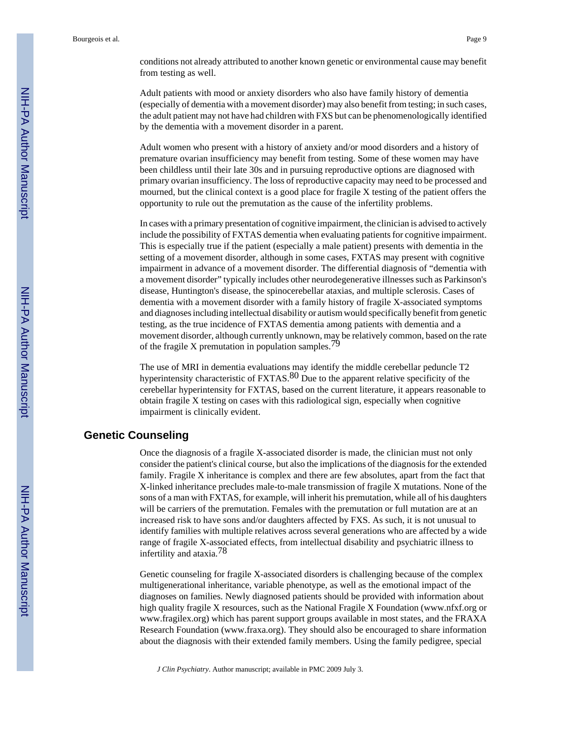conditions not already attributed to another known genetic or environmental cause may benefit from testing as well.

Adult patients with mood or anxiety disorders who also have family history of dementia (especially of dementia with a movement disorder) may also benefit from testing; in such cases, the adult patient may not have had children with FXS but can be phenomenologically identified by the dementia with a movement disorder in a parent.

Adult women who present with a history of anxiety and/or mood disorders and a history of premature ovarian insufficiency may benefit from testing. Some of these women may have been childless until their late 30s and in pursuing reproductive options are diagnosed with primary ovarian insufficiency. The loss of reproductive capacity may need to be processed and mourned, but the clinical context is a good place for fragile X testing of the patient offers the opportunity to rule out the premutation as the cause of the infertility problems.

In cases with a primary presentation of cognitive impairment, the clinician is advised to actively include the possibility of FXTAS dementia when evaluating patients for cognitive impairment. This is especially true if the patient (especially a male patient) presents with dementia in the setting of a movement disorder, although in some cases, FXTAS may present with cognitive impairment in advance of a movement disorder. The differential diagnosis of "dementia with a movement disorder" typically includes other neurodegenerative illnesses such as Parkinson's disease, Huntington's disease, the spinocerebellar ataxias, and multiple sclerosis. Cases of dementia with a movement disorder with a family history of fragile X-associated symptoms and diagnoses including intellectual disability or autism would specifically benefit from genetic testing, as the true incidence of FXTAS dementia among patients with dementia and a movement disorder, although currently unknown, may be relatively common, based on the rate of the fragile X premutation in population samples.<sup>79</sup>

The use of MRI in dementia evaluations may identify the middle cerebellar peduncle T2 hyperintensity characteristic of FXTAS.<sup>80</sup> Due to the apparent relative specificity of the cerebellar hyperintensity for FXTAS, based on the current literature, it appears reasonable to obtain fragile X testing on cases with this radiological sign, especially when cognitive impairment is clinically evident.

#### **Genetic Counseling**

Once the diagnosis of a fragile X-associated disorder is made, the clinician must not only consider the patient's clinical course, but also the implications of the diagnosis for the extended family. Fragile X inheritance is complex and there are few absolutes, apart from the fact that X-linked inheritance precludes male-to-male transmission of fragile X mutations. None of the sons of a man with FXTAS, for example, will inherit his premutation, while all of his daughters will be carriers of the premutation. Females with the premutation or full mutation are at an increased risk to have sons and/or daughters affected by FXS. As such, it is not unusual to identify families with multiple relatives across several generations who are affected by a wide range of fragile X-associated effects, from intellectual disability and psychiatric illness to infertility and ataxia.78

Genetic counseling for fragile X-associated disorders is challenging because of the complex multigenerational inheritance, variable phenotype, as well as the emotional impact of the diagnoses on families. Newly diagnosed patients should be provided with information about high quality fragile X resources, such as the National Fragile X Foundation ([www.nfxf.org](http://www.nfxf.org) or [www.fragilex.org](http://www.fragilex.org)) which has parent support groups available in most states, and the FRAXA Research Foundation ([www.fraxa.org](http://www.fraxa.org)). They should also be encouraged to share information about the diagnosis with their extended family members. Using the family pedigree, special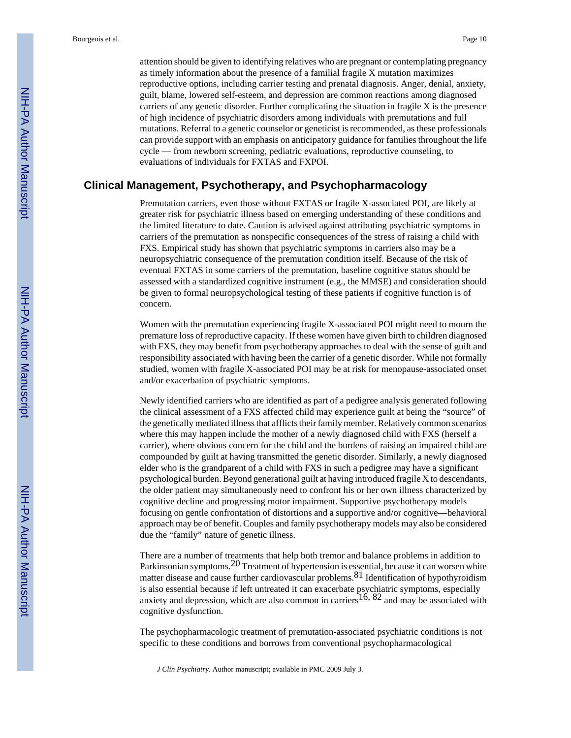attention should be given to identifying relatives who are pregnant or contemplating pregnancy as timely information about the presence of a familial fragile X mutation maximizes reproductive options, including carrier testing and prenatal diagnosis. Anger, denial, anxiety, guilt, blame, lowered self-esteem, and depression are common reactions among diagnosed carriers of any genetic disorder. Further complicating the situation in fragile X is the presence of high incidence of psychiatric disorders among individuals with premutations and full mutations. Referral to a genetic counselor or geneticist is recommended, as these professionals can provide support with an emphasis on anticipatory guidance for families throughout the life cycle — from newborn screening, pediatric evaluations, reproductive counseling, to evaluations of individuals for FXTAS and FXPOI.

#### **Clinical Management, Psychotherapy, and Psychopharmacology**

Premutation carriers, even those without FXTAS or fragile X-associated POI, are likely at greater risk for psychiatric illness based on emerging understanding of these conditions and the limited literature to date. Caution is advised against attributing psychiatric symptoms in carriers of the premutation as nonspecific consequences of the stress of raising a child with FXS. Empirical study has shown that psychiatric symptoms in carriers also may be a neuropsychiatric consequence of the premutation condition itself. Because of the risk of eventual FXTAS in some carriers of the premutation, baseline cognitive status should be assessed with a standardized cognitive instrument (e.g., the MMSE) and consideration should be given to formal neuropsychological testing of these patients if cognitive function is of concern.

Women with the premutation experiencing fragile X-associated POI might need to mourn the premature loss of reproductive capacity. If these women have given birth to children diagnosed with FXS, they may benefit from psychotherapy approaches to deal with the sense of guilt and responsibility associated with having been the carrier of a genetic disorder. While not formally studied, women with fragile X-associated POI may be at risk for menopause-associated onset and/or exacerbation of psychiatric symptoms.

Newly identified carriers who are identified as part of a pedigree analysis generated following the clinical assessment of a FXS affected child may experience guilt at being the "source" of the genetically mediated illness that afflicts their family member. Relatively common scenarios where this may happen include the mother of a newly diagnosed child with FXS (herself a carrier), where obvious concern for the child and the burdens of raising an impaired child are compounded by guilt at having transmitted the genetic disorder. Similarly, a newly diagnosed elder who is the grandparent of a child with FXS in such a pedigree may have a significant psychological burden. Beyond generational guilt at having introduced fragile X to descendants, the older patient may simultaneously need to confront his or her own illness characterized by cognitive decline and progressing motor impairment. Supportive psychotherapy models focusing on gentle confrontation of distortions and a supportive and/or cognitive—behavioral approach may be of benefit. Couples and family psychotherapy models may also be considered due the "family" nature of genetic illness.

There are a number of treatments that help both tremor and balance problems in addition to Parkinsonian symptoms.<sup>20</sup> Treatment of hypertension is essential, because it can worsen white matter disease and cause further cardiovascular problems.<sup>81</sup> Identification of hypothyroidism is also essential because if left untreated it can exacerbate psychiatric symptoms, especially anxiety and depression, which are also common in carriers<sup>16, 82</sup> and may be associated with cognitive dysfunction.

The psychopharmacologic treatment of premutation-associated psychiatric conditions is not specific to these conditions and borrows from conventional psychopharmacological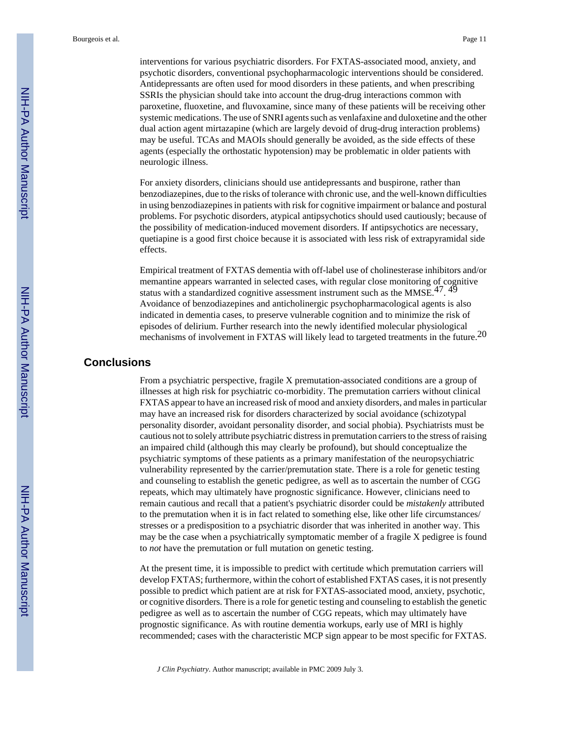interventions for various psychiatric disorders. For FXTAS-associated mood, anxiety, and psychotic disorders, conventional psychopharmacologic interventions should be considered. Antidepressants are often used for mood disorders in these patients, and when prescribing SSRIs the physician should take into account the drug-drug interactions common with paroxetine, fluoxetine, and fluvoxamine, since many of these patients will be receiving other systemic medications. The use of SNRI agents such as venlafaxine and duloxetine and the other dual action agent mirtazapine (which are largely devoid of drug-drug interaction problems) may be useful. TCAs and MAOIs should generally be avoided, as the side effects of these agents (especially the orthostatic hypotension) may be problematic in older patients with neurologic illness.

For anxiety disorders, clinicians should use antidepressants and buspirone, rather than benzodiazepines, due to the risks of tolerance with chronic use, and the well-known difficulties in using benzodiazepines in patients with risk for cognitive impairment or balance and postural problems. For psychotic disorders, atypical antipsychotics should used cautiously; because of the possibility of medication-induced movement disorders. If antipsychotics are necessary, quetiapine is a good first choice because it is associated with less risk of extrapyramidal side effects.

Empirical treatment of FXTAS dementia with off-label use of cholinesterase inhibitors and/or memantine appears warranted in selected cases, with regular close monitoring of cognitive status with a standardized cognitive assessment instrument such as the MMSE.<sup>47</sup>.<sup>49</sup> Avoidance of benzodiazepines and anticholinergic psychopharmacological agents is also indicated in dementia cases, to preserve vulnerable cognition and to minimize the risk of episodes of delirium. Further research into the newly identified molecular physiological mechanisms of involvement in FXTAS will likely lead to targeted treatments in the future.<sup>20</sup>

#### **Conclusions**

From a psychiatric perspective, fragile X premutation-associated conditions are a group of illnesses at high risk for psychiatric co-morbidity. The premutation carriers without clinical FXTAS appear to have an increased risk of mood and anxiety disorders, and males in particular may have an increased risk for disorders characterized by social avoidance (schizotypal personality disorder, avoidant personality disorder, and social phobia). Psychiatrists must be cautious not to solely attribute psychiatric distress in premutation carriers to the stress of raising an impaired child (although this may clearly be profound), but should conceptualize the psychiatric symptoms of these patients as a primary manifestation of the neuropsychiatric vulnerability represented by the carrier/premutation state. There is a role for genetic testing and counseling to establish the genetic pedigree, as well as to ascertain the number of CGG repeats, which may ultimately have prognostic significance. However, clinicians need to remain cautious and recall that a patient's psychiatric disorder could be *mistakenly* attributed to the premutation when it is in fact related to something else, like other life circumstances/ stresses or a predisposition to a psychiatric disorder that was inherited in another way. This may be the case when a psychiatrically symptomatic member of a fragile X pedigree is found to *not* have the premutation or full mutation on genetic testing.

At the present time, it is impossible to predict with certitude which premutation carriers will develop FXTAS; furthermore, within the cohort of established FXTAS cases, it is not presently possible to predict which patient are at risk for FXTAS-associated mood, anxiety, psychotic, or cognitive disorders. There is a role for genetic testing and counseling to establish the genetic pedigree as well as to ascertain the number of CGG repeats, which may ultimately have prognostic significance. As with routine dementia workups, early use of MRI is highly recommended; cases with the characteristic MCP sign appear to be most specific for FXTAS.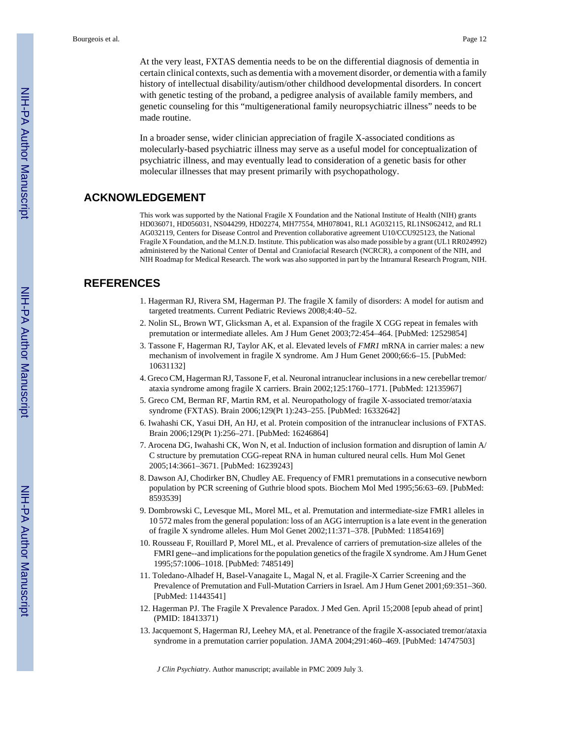At the very least, FXTAS dementia needs to be on the differential diagnosis of dementia in certain clinical contexts, such as dementia with a movement disorder, or dementia with a family history of intellectual disability/autism/other childhood developmental disorders. In concert with genetic testing of the proband, a pedigree analysis of available family members, and genetic counseling for this "multigenerational family neuropsychiatric illness" needs to be made routine.

In a broader sense, wider clinician appreciation of fragile X-associated conditions as molecularly-based psychiatric illness may serve as a useful model for conceptualization of psychiatric illness, and may eventually lead to consideration of a genetic basis for other molecular illnesses that may present primarily with psychopathology.

#### **ACKNOWLEDGEMENT**

This work was supported by the National Fragile X Foundation and the National Institute of Health (NIH) grants HD036071, HD056031, NS044299, HD02274, MH77554, MH078041, RL1 AG032115, RL1NS062412, and RL1 AG032119, Centers for Disease Control and Prevention collaborative agreement U10/CCU925123, the National Fragile X Foundation, and the M.I.N.D. Institute. This publication was also made possible by a grant (UL1 RR024992) administered by the National Center of Dental and Craniofacial Research (NCRCR), a component of the NIH, and NIH Roadmap for Medical Research. The work was also supported in part by the Intramural Research Program, NIH.

#### **REFERENCES**

- 1. Hagerman RJ, Rivera SM, Hagerman PJ. The fragile X family of disorders: A model for autism and targeted treatments. Current Pediatric Reviews 2008;4:40–52.
- 2. Nolin SL, Brown WT, Glicksman A, et al. Expansion of the fragile X CGG repeat in females with premutation or intermediate alleles. Am J Hum Genet 2003;72:454–464. [PubMed: 12529854]
- 3. Tassone F, Hagerman RJ, Taylor AK, et al. Elevated levels of *FMR1* mRNA in carrier males: a new mechanism of involvement in fragile X syndrome. Am J Hum Genet 2000;66:6–15. [PubMed: 10631132]
- 4. Greco CM, Hagerman RJ, Tassone F, et al. Neuronal intranuclear inclusions in a new cerebellar tremor/ ataxia syndrome among fragile X carriers. Brain 2002;125:1760–1771. [PubMed: 12135967]
- 5. Greco CM, Berman RF, Martin RM, et al. Neuropathology of fragile X-associated tremor/ataxia syndrome (FXTAS). Brain 2006;129(Pt 1):243–255. [PubMed: 16332642]
- 6. Iwahashi CK, Yasui DH, An HJ, et al. Protein composition of the intranuclear inclusions of FXTAS. Brain 2006;129(Pt 1):256–271. [PubMed: 16246864]
- 7. Arocena DG, Iwahashi CK, Won N, et al. Induction of inclusion formation and disruption of lamin A/ C structure by premutation CGG-repeat RNA in human cultured neural cells. Hum Mol Genet 2005;14:3661–3671. [PubMed: 16239243]
- 8. Dawson AJ, Chodirker BN, Chudley AE. Frequency of FMR1 premutations in a consecutive newborn population by PCR screening of Guthrie blood spots. Biochem Mol Med 1995;56:63–69. [PubMed: 8593539]
- 9. Dombrowski C, Levesque ML, Morel ML, et al. Premutation and intermediate-size FMR1 alleles in 10 572 males from the general population: loss of an AGG interruption is a late event in the generation of fragile X syndrome alleles. Hum Mol Genet 2002;11:371–378. [PubMed: 11854169]
- 10. Rousseau F, Rouillard P, Morel ML, et al. Prevalence of carriers of premutation-size alleles of the FMRI gene--and implications for the population genetics of the fragile X syndrome. Am J Hum Genet 1995;57:1006–1018. [PubMed: 7485149]
- 11. Toledano-Alhadef H, Basel-Vanagaite L, Magal N, et al. Fragile-X Carrier Screening and the Prevalence of Premutation and Full-Mutation Carriers in Israel. Am J Hum Genet 2001;69:351–360. [PubMed: 11443541]
- 12. Hagerman PJ. The Fragile X Prevalence Paradox. J Med Gen. April 15;2008 [epub ahead of print] (PMID: 18413371)
- 13. Jacquemont S, Hagerman RJ, Leehey MA, et al. Penetrance of the fragile X-associated tremor/ataxia syndrome in a premutation carrier population. JAMA 2004;291:460–469. [PubMed: 14747503]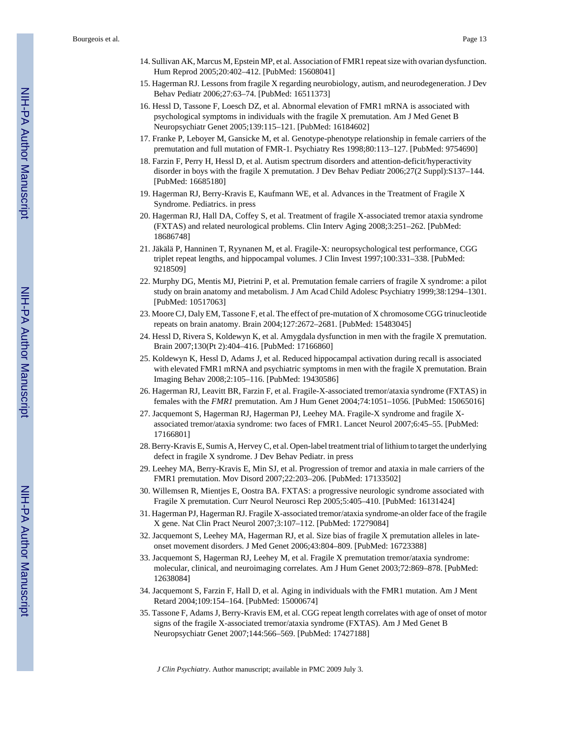- 14. Sullivan AK, Marcus M, Epstein MP, et al. Association of FMR1 repeat size with ovarian dysfunction. Hum Reprod 2005;20:402–412. [PubMed: 15608041]
- 15. Hagerman RJ. Lessons from fragile X regarding neurobiology, autism, and neurodegeneration. J Dev Behav Pediatr 2006;27:63–74. [PubMed: 16511373]
- 16. Hessl D, Tassone F, Loesch DZ, et al. Abnormal elevation of FMR1 mRNA is associated with psychological symptoms in individuals with the fragile X premutation. Am J Med Genet B Neuropsychiatr Genet 2005;139:115–121. [PubMed: 16184602]
- 17. Franke P, Leboyer M, Gansicke M, et al. Genotype-phenotype relationship in female carriers of the premutation and full mutation of FMR-1. Psychiatry Res 1998;80:113–127. [PubMed: 9754690]
- 18. Farzin F, Perry H, Hessl D, et al. Autism spectrum disorders and attention-deficit/hyperactivity disorder in boys with the fragile X premutation. J Dev Behav Pediatr 2006;27(2 Suppl):S137–144. [PubMed: 16685180]
- 19. Hagerman RJ, Berry-Kravis E, Kaufmann WE, et al. Advances in the Treatment of Fragile X Syndrome. Pediatrics. in press
- 20. Hagerman RJ, Hall DA, Coffey S, et al. Treatment of fragile X-associated tremor ataxia syndrome (FXTAS) and related neurological problems. Clin Interv Aging 2008;3:251–262. [PubMed: 18686748]
- 21. Jäkälä P, Hanninen T, Ryynanen M, et al. Fragile-X: neuropsychological test performance, CGG triplet repeat lengths, and hippocampal volumes. J Clin Invest 1997;100:331–338. [PubMed: 9218509]
- 22. Murphy DG, Mentis MJ, Pietrini P, et al. Premutation female carriers of fragile X syndrome: a pilot study on brain anatomy and metabolism. J Am Acad Child Adolesc Psychiatry 1999;38:1294–1301. [PubMed: 10517063]
- 23. Moore CJ, Daly EM, Tassone F, et al. The effect of pre-mutation of X chromosome CGG trinucleotide repeats on brain anatomy. Brain 2004;127:2672–2681. [PubMed: 15483045]
- 24. Hessl D, Rivera S, Koldewyn K, et al. Amygdala dysfunction in men with the fragile X premutation. Brain 2007;130(Pt 2):404–416. [PubMed: 17166860]
- 25. Koldewyn K, Hessl D, Adams J, et al. Reduced hippocampal activation during recall is associated with elevated FMR1 mRNA and psychiatric symptoms in men with the fragile X premutation. Brain Imaging Behav 2008;2:105–116. [PubMed: 19430586]
- 26. Hagerman RJ, Leavitt BR, Farzin F, et al. Fragile-X-associated tremor/ataxia syndrome (FXTAS) in females with the *FMR1* premutation. Am J Hum Genet 2004;74:1051–1056. [PubMed: 15065016]
- 27. Jacquemont S, Hagerman RJ, Hagerman PJ, Leehey MA. Fragile-X syndrome and fragile Xassociated tremor/ataxia syndrome: two faces of FMR1. Lancet Neurol 2007;6:45–55. [PubMed: 17166801]
- 28. Berry-Kravis E, Sumis A, Hervey C, et al. Open-label treatment trial of lithium to target the underlying defect in fragile X syndrome. J Dev Behav Pediatr. in press
- 29. Leehey MA, Berry-Kravis E, Min SJ, et al. Progression of tremor and ataxia in male carriers of the FMR1 premutation. Mov Disord 2007;22:203–206. [PubMed: 17133502]
- 30. Willemsen R, Mientjes E, Oostra BA. FXTAS: a progressive neurologic syndrome associated with Fragile X premutation. Curr Neurol Neurosci Rep 2005;5:405–410. [PubMed: 16131424]
- 31. Hagerman PJ, Hagerman RJ. Fragile X-associated tremor/ataxia syndrome-an older face of the fragile X gene. Nat Clin Pract Neurol 2007;3:107–112. [PubMed: 17279084]
- 32. Jacquemont S, Leehey MA, Hagerman RJ, et al. Size bias of fragile X premutation alleles in lateonset movement disorders. J Med Genet 2006;43:804–809. [PubMed: 16723388]
- 33. Jacquemont S, Hagerman RJ, Leehey M, et al. Fragile X premutation tremor/ataxia syndrome: molecular, clinical, and neuroimaging correlates. Am J Hum Genet 2003;72:869–878. [PubMed: 12638084]
- 34. Jacquemont S, Farzin F, Hall D, et al. Aging in individuals with the FMR1 mutation. Am J Ment Retard 2004;109:154–164. [PubMed: 15000674]
- 35. Tassone F, Adams J, Berry-Kravis EM, et al. CGG repeat length correlates with age of onset of motor signs of the fragile X-associated tremor/ataxia syndrome (FXTAS). Am J Med Genet B Neuropsychiatr Genet 2007;144:566–569. [PubMed: 17427188]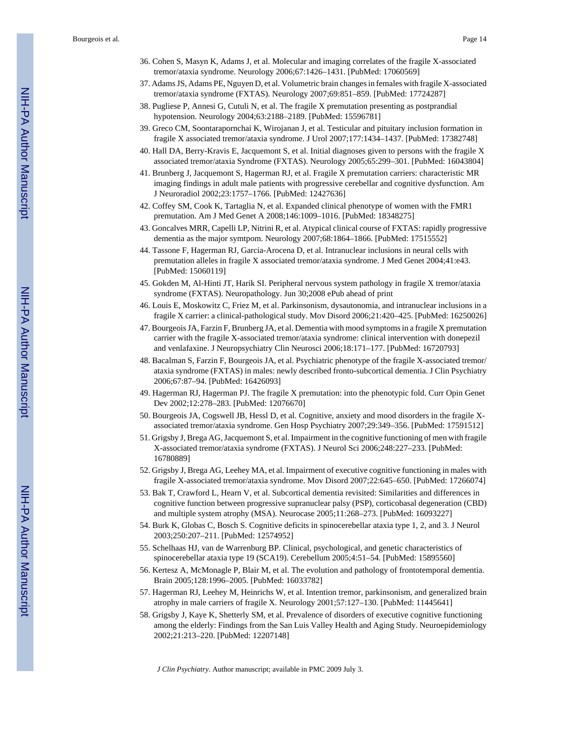Bourgeois et al. Page 14

- 36. Cohen S, Masyn K, Adams J, et al. Molecular and imaging correlates of the fragile X-associated tremor/ataxia syndrome. Neurology 2006;67:1426–1431. [PubMed: 17060569]
- 37. Adams JS, Adams PE, Nguyen D, et al. Volumetric brain changes in females with fragile X-associated tremor/ataxia syndrome (FXTAS). Neurology 2007;69:851–859. [PubMed: 17724287]
- 38. Pugliese P, Annesi G, Cutuli N, et al. The fragile X premutation presenting as postprandial hypotension. Neurology 2004;63:2188–2189. [PubMed: 15596781]
- 39. Greco CM, Soontarapornchai K, Wirojanan J, et al. Testicular and pituitary inclusion formation in fragile X associated tremor/ataxia syndrome. J Urol 2007;177:1434–1437. [PubMed: 17382748]
- 40. Hall DA, Berry-Kravis E, Jacquemont S, et al. Initial diagnoses given to persons with the fragile X associated tremor/ataxia Syndrome (FXTAS). Neurology 2005;65:299–301. [PubMed: 16043804]
- 41. Brunberg J, Jacquemont S, Hagerman RJ, et al. Fragile X premutation carriers: characteristic MR imaging findings in adult male patients with progressive cerebellar and cognitive dysfunction. Am J Neuroradiol 2002;23:1757–1766. [PubMed: 12427636]
- 42. Coffey SM, Cook K, Tartaglia N, et al. Expanded clinical phenotype of women with the FMR1 premutation. Am J Med Genet A 2008;146:1009–1016. [PubMed: 18348275]
- 43. Goncalves MRR, Capelli LP, Nitrini R, et al. Atypical clinical course of FXTAS: rapidly progressive dementia as the major symtpom. Neurology 2007;68:1864–1866. [PubMed: 17515552]
- 44. Tassone F, Hagerman RJ, Garcia-Arocena D, et al. Intranuclear inclusions in neural cells with premutation alleles in fragile X associated tremor/ataxia syndrome. J Med Genet 2004;41:e43. [PubMed: 15060119]
- 45. Gokden M, Al-Hinti JT, Harik SI. Peripheral nervous system pathology in fragile X tremor/ataxia syndrome (FXTAS). Neuropathology. Jun 30;2008 ePub ahead of print
- 46. Louis E, Moskowitz C, Friez M, et al. Parkinsonism, dysautonomia, and intranuclear inclusions in a fragile X carrier: a clinical-pathological study. Mov Disord 2006;21:420–425. [PubMed: 16250026]
- 47. Bourgeois JA, Farzin F, Brunberg JA, et al. Dementia with mood symptoms in a fragile X premutation carrier with the fragile X-associated tremor/ataxia syndrome: clinical intervention with donepezil and venlafaxine. J Neuropsychiatry Clin Neurosci 2006;18:171–177. [PubMed: 16720793]
- 48. Bacalman S, Farzin F, Bourgeois JA, et al. Psychiatric phenotype of the fragile X-associated tremor/ ataxia syndrome (FXTAS) in males: newly described fronto-subcortical dementia. J Clin Psychiatry 2006;67:87–94. [PubMed: 16426093]
- 49. Hagerman RJ, Hagerman PJ. The fragile X premutation: into the phenotypic fold. Curr Opin Genet Dev 2002;12:278–283. [PubMed: 12076670]
- 50. Bourgeois JA, Cogswell JB, Hessl D, et al. Cognitive, anxiety and mood disorders in the fragile Xassociated tremor/ataxia syndrome. Gen Hosp Psychiatry 2007;29:349–356. [PubMed: 17591512]
- 51. Grigsby J, Brega AG, Jacquemont S, et al. Impairment in the cognitive functioning of men with fragile X-associated tremor/ataxia syndrome (FXTAS). J Neurol Sci 2006;248:227–233. [PubMed: 16780889]
- 52. Grigsby J, Brega AG, Leehey MA, et al. Impairment of executive cognitive functioning in males with fragile X-associated tremor/ataxia syndrome. Mov Disord 2007;22:645–650. [PubMed: 17266074]
- 53. Bak T, Crawford L, Hearn V, et al. Subcortical dementia revisited: Similarities and differences in cognitive function between progressive supranuclear palsy (PSP), corticobasal degeneration (CBD) and multiple system atrophy (MSA). Neurocase 2005;11:268–273. [PubMed: 16093227]
- 54. Burk K, Globas C, Bosch S. Cognitive deficits in spinocerebellar ataxia type 1, 2, and 3. J Neurol 2003;250:207–211. [PubMed: 12574952]
- 55. Schelhaas HJ, van de Warrenburg BP. Clinical, psychological, and genetic characteristics of spinocerebellar ataxia type 19 (SCA19). Cerebellum 2005;4:51–54. [PubMed: 15895560]
- 56. Kertesz A, McMonagle P, Blair M, et al. The evolution and pathology of frontotemporal dementia. Brain 2005;128:1996–2005. [PubMed: 16033782]
- 57. Hagerman RJ, Leehey M, Heinrichs W, et al. Intention tremor, parkinsonism, and generalized brain atrophy in male carriers of fragile X. Neurology 2001;57:127–130. [PubMed: 11445641]
- 58. Grigsby J, Kaye K, Shetterly SM, et al. Prevalence of disorders of executive cognitive functioning among the elderly: Findings from the San Luis Valley Health and Aging Study. Neuroepidemiology 2002;21:213–220. [PubMed: 12207148]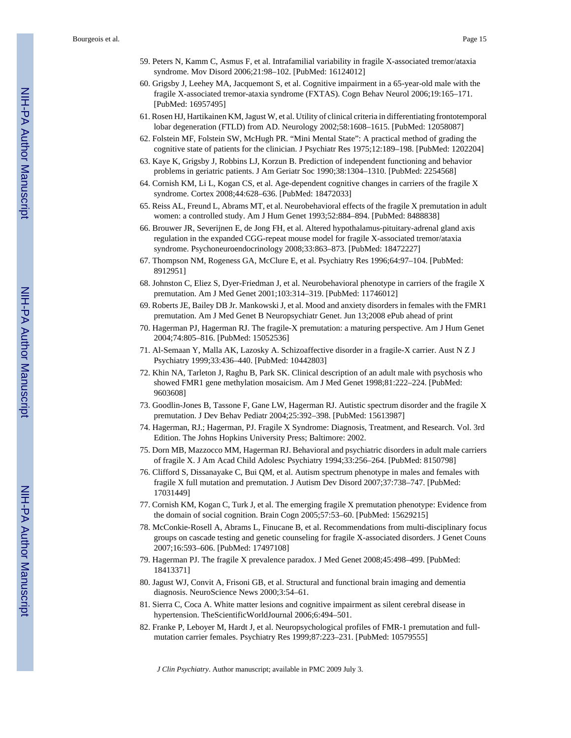- 59. Peters N, Kamm C, Asmus F, et al. Intrafamilial variability in fragile X-associated tremor/ataxia syndrome. Mov Disord 2006;21:98–102. [PubMed: 16124012]
- 60. Grigsby J, Leehey MA, Jacquemont S, et al. Cognitive impairment in a 65-year-old male with the fragile X-associated tremor-ataxia syndrome (FXTAS). Cogn Behav Neurol 2006;19:165–171. [PubMed: 16957495]
- 61. Rosen HJ, Hartikainen KM, Jagust W, et al. Utility of clinical criteria in differentiating frontotemporal lobar degeneration (FTLD) from AD. Neurology 2002;58:1608–1615. [PubMed: 12058087]
- 62. Folstein MF, Folstein SW, McHugh PR. "Mini Mental State": A practical method of grading the cognitive state of patients for the clinician. J Psychiatr Res 1975;12:189–198. [PubMed: 1202204]
- 63. Kaye K, Grigsby J, Robbins LJ, Korzun B. Prediction of independent functioning and behavior problems in geriatric patients. J Am Geriatr Soc 1990;38:1304–1310. [PubMed: 2254568]
- 64. Cornish KM, Li L, Kogan CS, et al. Age-dependent cognitive changes in carriers of the fragile X syndrome. Cortex 2008;44:628–636. [PubMed: 18472033]
- 65. Reiss AL, Freund L, Abrams MT, et al. Neurobehavioral effects of the fragile X premutation in adult women: a controlled study. Am J Hum Genet 1993;52:884–894. [PubMed: 8488838]
- 66. Brouwer JR, Severijnen E, de Jong FH, et al. Altered hypothalamus-pituitary-adrenal gland axis regulation in the expanded CGG-repeat mouse model for fragile X-associated tremor/ataxia syndrome. Psychoneuroendocrinology 2008;33:863–873. [PubMed: 18472227]
- 67. Thompson NM, Rogeness GA, McClure E, et al. Psychiatry Res 1996;64:97–104. [PubMed: 8912951]
- 68. Johnston C, Eliez S, Dyer-Friedman J, et al. Neurobehavioral phenotype in carriers of the fragile X premutation. Am J Med Genet 2001;103:314–319. [PubMed: 11746012]
- 69. Roberts JE, Bailey DB Jr. Mankowski J, et al. Mood and anxiety disorders in females with the FMR1 premutation. Am J Med Genet B Neuropsychiatr Genet. Jun 13;2008 ePub ahead of print
- 70. Hagerman PJ, Hagerman RJ. The fragile-X premutation: a maturing perspective. Am J Hum Genet 2004;74:805–816. [PubMed: 15052536]
- 71. Al-Semaan Y, Malla AK, Lazosky A. Schizoaffective disorder in a fragile-X carrier. Aust N Z J Psychiatry 1999;33:436–440. [PubMed: 10442803]
- 72. Khin NA, Tarleton J, Raghu B, Park SK. Clinical description of an adult male with psychosis who showed FMR1 gene methylation mosaicism. Am J Med Genet 1998;81:222–224. [PubMed: 9603608]
- 73. Goodlin-Jones B, Tassone F, Gane LW, Hagerman RJ. Autistic spectrum disorder and the fragile X premutation. J Dev Behav Pediatr 2004;25:392–398. [PubMed: 15613987]
- 74. Hagerman, RJ.; Hagerman, PJ. Fragile X Syndrome: Diagnosis, Treatment, and Research. Vol. 3rd Edition. The Johns Hopkins University Press; Baltimore: 2002.
- 75. Dorn MB, Mazzocco MM, Hagerman RJ. Behavioral and psychiatric disorders in adult male carriers of fragile X. J Am Acad Child Adolesc Psychiatry 1994;33:256–264. [PubMed: 8150798]
- 76. Clifford S, Dissanayake C, Bui QM, et al. Autism spectrum phenotype in males and females with fragile X full mutation and premutation. J Autism Dev Disord 2007;37:738–747. [PubMed: 17031449]
- 77. Cornish KM, Kogan C, Turk J, et al. The emerging fragile X premutation phenotype: Evidence from the domain of social cognition. Brain Cogn 2005;57:53–60. [PubMed: 15629215]
- 78. McConkie-Rosell A, Abrams L, Finucane B, et al. Recommendations from multi-disciplinary focus groups on cascade testing and genetic counseling for fragile X-associated disorders. J Genet Couns 2007;16:593–606. [PubMed: 17497108]
- 79. Hagerman PJ. The fragile X prevalence paradox. J Med Genet 2008;45:498–499. [PubMed: 18413371]
- 80. Jagust WJ, Convit A, Frisoni GB, et al. Structural and functional brain imaging and dementia diagnosis. NeuroScience News 2000;3:54–61.
- 81. Sierra C, Coca A. White matter lesions and cognitive impairment as silent cerebral disease in hypertension. TheScientificWorldJournal 2006;6:494–501.
- 82. Franke P, Leboyer M, Hardt J, et al. Neuropsychological profiles of FMR-1 premutation and fullmutation carrier females. Psychiatry Res 1999;87:223–231. [PubMed: 10579555]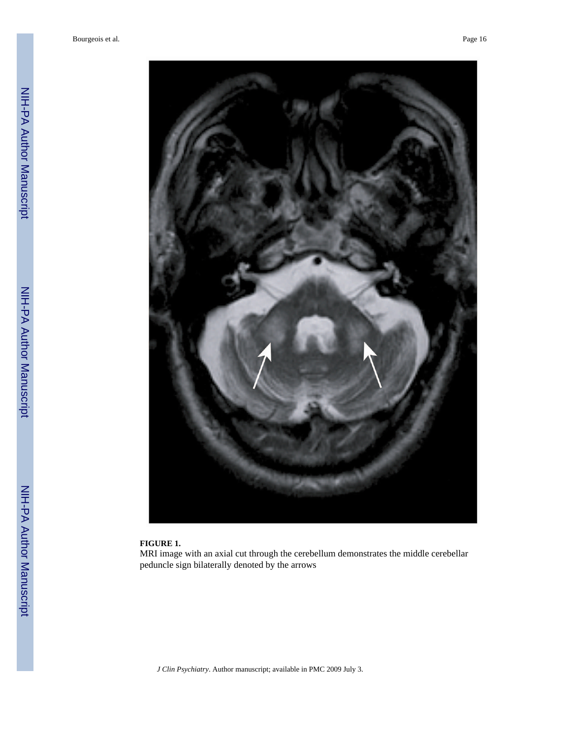Bourgeois et al. Page 16



#### **FIGURE 1.**

MRI image with an axial cut through the cerebellum demonstrates the middle cerebellar peduncle sign bilaterally denoted by the arrows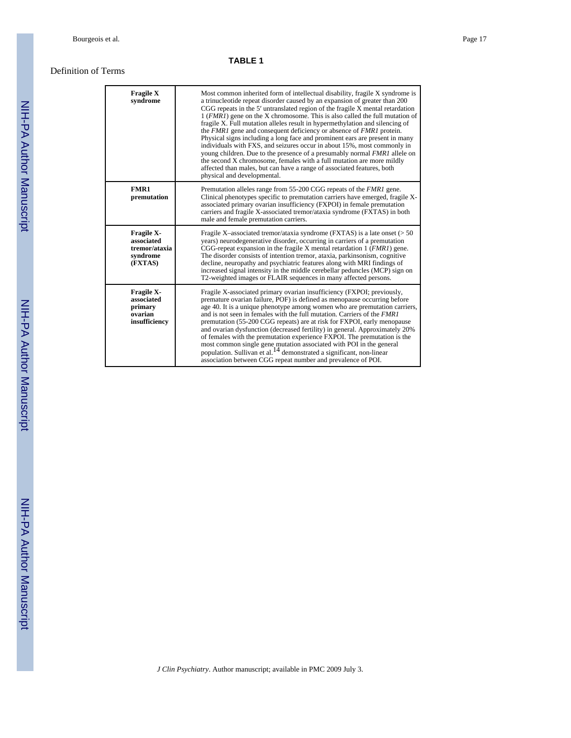#### **TABLE 1**

#### Definition of Terms

| <b>Fragile X</b><br>syndrome                                     | Most common inherited form of intellectual disability, fragile X syndrome is<br>a trinucleotide repeat disorder caused by an expansion of greater than 200<br>CGG repeats in the 5' untranslated region of the fragile X mental retardation<br>$1$ ( <i>FMR1</i> ) gene on the X chromosome. This is also called the full mutation of<br>fragile X. Full mutation alleles result in hypermethylation and silencing of<br>the <i>FMR1</i> gene and consequent deficiency or absence of <i>FMR1</i> protein.<br>Physical signs including a long face and prominent ears are present in many<br>individuals with FXS, and seizures occur in about 15%, most commonly in<br>young children. Due to the presence of a presumably normal FMR1 allele on<br>the second X chromosome, females with a full mutation are more mildly<br>affected than males, but can have a range of associated features, both<br>physical and developmental. |
|------------------------------------------------------------------|-------------------------------------------------------------------------------------------------------------------------------------------------------------------------------------------------------------------------------------------------------------------------------------------------------------------------------------------------------------------------------------------------------------------------------------------------------------------------------------------------------------------------------------------------------------------------------------------------------------------------------------------------------------------------------------------------------------------------------------------------------------------------------------------------------------------------------------------------------------------------------------------------------------------------------------|
| <b>FMR1</b><br>premutation                                       | Premutation alleles range from 55-200 CGG repeats of the <i>FMR1</i> gene.<br>Clinical phenotypes specific to premutation carriers have emerged, fragile X-<br>associated primary ovarian insufficiency (FXPOI) in female premutation<br>carriers and fragile X-associated tremor/ataxia syndrome (FXTAS) in both<br>male and female premutation carriers.                                                                                                                                                                                                                                                                                                                                                                                                                                                                                                                                                                          |
| Fragile X-<br>associated<br>tremor/ataxia<br>syndrome<br>(FXTAS) | Fragile X-associated tremor/ataxia syndrome (FXTAS) is a late onset ( $> 50$ )<br>years) neurodegenerative disorder, occurring in carriers of a premutation<br>CGG-repeat expansion in the fragile X mental retardation $1$ ( <i>FMR1</i> ) gene.<br>The disorder consists of intention tremor, ataxia, parkinsonism, cognitive<br>decline, neuropathy and psychiatric features along with MRI findings of<br>increased signal intensity in the middle cerebellar peduncles (MCP) sign on<br>T2-weighted images or FLAIR sequences in many affected persons.                                                                                                                                                                                                                                                                                                                                                                        |
| Fragile X-<br>associated<br>primary<br>ovarian<br>insufficiency  | Fragile X-associated primary ovarian insufficiency (FXPOI; previously,<br>premature ovarian failure, POF) is defined as menopause occurring before<br>age 40. It is a unique phenotype among women who are premutation carriers,<br>and is not seen in females with the full mutation. Carriers of the <i>FMR1</i><br>premutation (55-200 CGG repeats) are at risk for FXPOI, early menopause<br>and ovarian dysfunction (decreased fertility) in general. Approximately 20%<br>of females with the premutation experience FXPOI. The premutation is the<br>most common single gene mutation associated with POI in the general<br>population. Sullivan et al. <sup>14</sup> demonstrated a significant, non-linear                                                                                                                                                                                                                 |

association between CGG repeat number and prevalence of POI.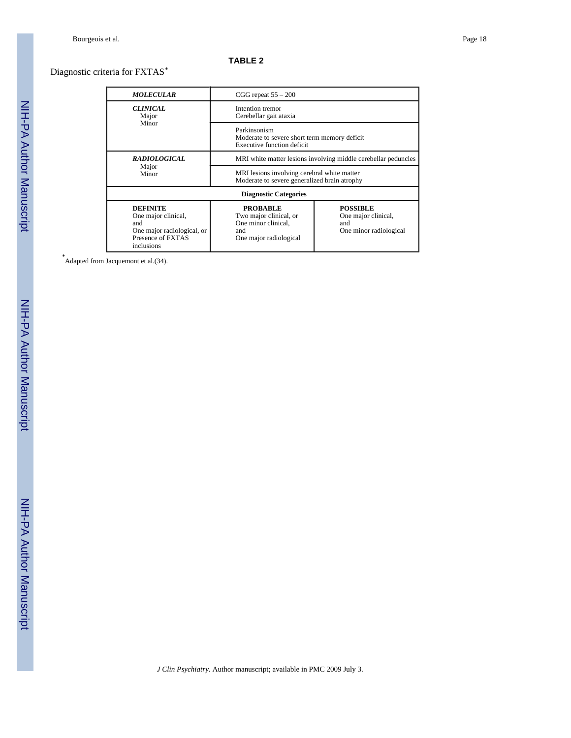#### **TABLE 2**

## Diagnostic criteria for FXTAS*\**

| <b>MOLECULAR</b><br>$CGG$ repeat $55 - 200$                                                                    |                                                                                                   |                                                                         |  |
|----------------------------------------------------------------------------------------------------------------|---------------------------------------------------------------------------------------------------|-------------------------------------------------------------------------|--|
| <b>CLINICAL</b><br>Major                                                                                       | Intention tremor<br>Cerebellar gait ataxia                                                        |                                                                         |  |
| Minor                                                                                                          | Parkinsonism<br>Moderate to severe short term memory deficit<br>Executive function deficit        |                                                                         |  |
| <i><b>RADIOLOGICAL</b></i>                                                                                     | MRI white matter lesions involving middle cerebellar peduncles                                    |                                                                         |  |
| Major<br>Minor                                                                                                 | MRI lesions involving cerebral white matter<br>Moderate to severe generalized brain atrophy       |                                                                         |  |
|                                                                                                                | <b>Diagnostic Categories</b>                                                                      |                                                                         |  |
| <b>DEFINITE</b><br>One major clinical,<br>and<br>One major radiological, or<br>Presence of FXTAS<br>inclusions | <b>PROBABLE</b><br>Two major clinical, or<br>One minor clinical,<br>and<br>One major radiological | <b>POSSIBLE</b><br>One major clinical,<br>and<br>One minor radiological |  |

*\** Adapted from Jacquemont et al.(34).